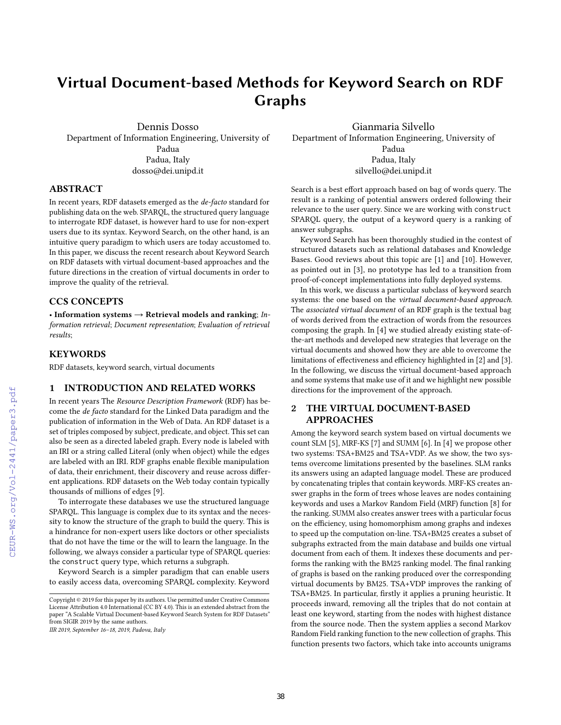# Virtual Document-based Methods for Keyword Search on RDF Graphs

Dennis Dosso Department of Information Engineering, University of Padua Padua, Italy dosso@dei.unipd.it

Gianmaria Silvello Department of Information Engineering, University of Padua Padua, Italy silvello@dei.unipd.it

## ABSTRACT

In recent years, RDF datasets emerged as the de-facto standard for publishing data on the web. SPARQL, the structured query language to interrogate RDF dataset, is however hard to use for non-expert users due to its syntax. Keyword Search, on the other hand, is an intuitive query paradigm to which users are today accustomed to. In this paper, we discuss the recent research about Keyword Search on RDF datasets with virtual document-based approaches and the future directions in the creation of virtual documents in order to improve the quality of the retrieval.

#### CCS CONCEPTS

• Information systems  $\rightarrow$  Retrieval models and ranking; *In*formation retrieval; Document representation; Evaluation of retrieval results;

#### **KEYWORDS**

RDF datasets, keyword search, virtual documents

## 1 INTRODUCTION AND RELATED WORKS

In recent years The Resource Description Framework (RDF) has become the de facto standard for the Linked Data paradigm and the publication of information in the Web of Data. An RDF dataset is a set of triples composed by subject, predicate, and object. This set can also be seen as a directed labeled graph. Every node is labeled with an IRI or a string called Literal (only when object) while the edges are labeled with an IRI. RDF graphs enable flexible manipulation of data, their enrichment, their discovery and reuse across different applications. RDF datasets on the Web today contain typically thousands of millions of edges [9].

To interrogate these databases we use the structured language SPARQL. This language is complex due to its syntax and the necessity to know the structure of the graph to build the query. This is a hindrance for non-expert users like doctors or other specialists that do not have the time or the will to learn the language. In the following, we always consider a particular type of SPARQL queries: the construct query type, which returns a subgraph.

Keyword Search is a simpler paradigm that can enable users to easily access data, overcoming SPARQL complexity. Keyword

IIR 2019, September 16–18, 2019, Padova, Italy

Search is a best effort approach based on bag of words query. The result is a ranking of potential answers ordered following their relevance to the user query. Since we are working with construct SPARQL query, the output of a keyword query is a ranking of answer subgraphs.

Keyword Search has been thoroughly studied in the contest of structured datasets such as relational databases and Knowledge Bases. Good reviews about this topic are [1] and [10]. However, as pointed out in [3], no prototype has led to a transition from proof-of-concept implementations into fully deployed systems.

In this work, we discuss a particular subclass of keyword search systems: the one based on the virtual document-based approach. The associated virtual document of an RDF graph is the textual bag of words derived from the extraction of words from the resources composing the graph. In [4] we studied already existing state-ofthe-art methods and developed new strategies that leverage on the virtual documents and showed how they are able to overcome the limitations of effectiveness and efficiency highlighted in [2] and [3]. In the following, we discuss the virtual document-based approach and some systems that make use of it and we highlight new possible directions for the improvement of the approach.

# 2 THE VIRTUAL DOCUMENT-BASED APPROACHES

Among the keyword search system based on virtual documents we count SLM [5], MRF-KS [7] and SUMM [6]. In [4] we propose other two systems: TSA+BM25 and TSA+VDP. As we show, the two systems overcome limitations presented by the baselines. SLM ranks its answers using an adapted language model. These are produced by concatenating triples that contain keywords. MRF-KS creates answer graphs in the form of trees whose leaves are nodes containing keywords and uses a Markov Random Field (MRF) function [8] for the ranking. SUMM also creates answer trees with a particular focus on the efficiency, using homomorphism among graphs and indexes to speed up the computation on-line. TSA+BM25 creates a subset of subgraphs extracted from the main database and builds one virtual document from each of them. It indexes these documents and performs the ranking with the BM25 ranking model. The final ranking of graphs is based on the ranking produced over the corresponding virtual documents by BM25. TSA+VDP improves the ranking of TSA+BM25. In particular, firstly it applies a pruning heuristic. It proceeds inward, removing all the triples that do not contain at least one keyword, starting from the nodes with highest distance from the source node. Then the system applies a second Markov Random Field ranking function to the new collection of graphs. This function presents two factors, which take into accounts unigrams

Copyright © 2019 for this paper by its authors. Use permitted under Creative Commons License Attribution 4.0 International (CC BY 4.0). This is an extended abstract from the paper "A Scalable Virtual Document-based Keyword Search System for RDF Datasets" from SIGIR 2019 by the same authors.